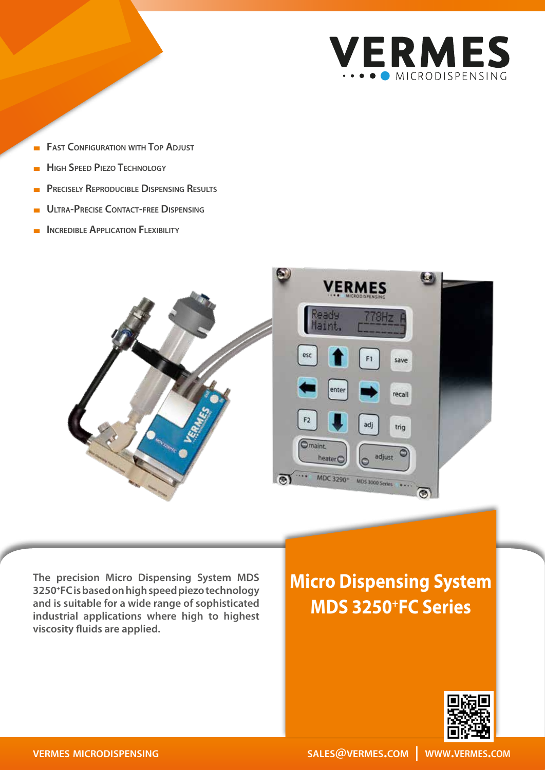

- **FAST CONFIGURATION WITH TOP ADJUST**
- **High Speed Piezo Technology**
- **Precisely Reproducible Dispensing Results**
- **Ultra-Precise Contact-free Dispensing**
- **INCREDIBLE APPLICATION FLEXIBILITY**



**The precision Micro Dispensing System MDS 3250+FC is based on high speed piezo technology and is suitable for a wide range of sophisticated industrial applications where high to highest viscosity fluids are applied.**

# **Micro Dispensing System MDS 3250+FC Series**